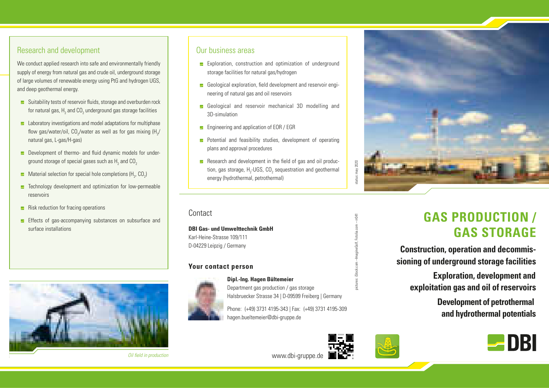#### Research and development

We conduct applied research into safe and environmentally friendly supply of energy from natural gas and crude oil, underground storage of large volumes of renewable energy using PtG and hydrogen UGS, and deep geothermal energy.

- Suitability tests of reservoir fluids, storage and overburden rock for natural gas,  ${\sf H}_{_2}$  and CO $_{_2}$  underground gas storage facilities
- $\blacktriangleright$  Laboratory investigations and model adaptations for multiphase flow gas/water/oil, CO<sub>2</sub>/water as well as for gas mixing (H<sub>2</sub>/ natural gas, L-gas/H-gas)
- **E** Development of thermo- and fluid dynamic models for underground storage of special gases such as  $\mathsf{H}_\mathsf{2}$  and  $\mathsf{CO}_\mathsf{2}$
- Material selection for special hole completions (H<sub>2</sub>, CO<sub>2</sub>)
- $\blacksquare$  Technology development and optimization for low-permeable reservoirs
- $\blacksquare$  Risk reduction for fracing operations
- **E** Effects of gas-accompanying substances on subsurface and surface installations



Oil field in production

#### Our business areas

- **E** Exploration, construction and optimization of underground storage facilities for natural gas/hydrogen
- Geological exploration, field development and reservoir engineering of natural gas and oil reservoirs
- Geological and reservoir mechanical 3D modelling and 3D-simulation
- **E** Engineering and application of EOR / EGR
- **E** Potential and feasibility studies, development of operating plans and approval procedures
- $\blacktriangleright$  Research and development in the field of gas and oil production, gas storage,  $H_{2}$ -UGS, CO<sub>2</sub> sequestration and geothermal energy (hydrothermal, petrothermal)

**Contact** 

**DBI Gas- und Umwelttechnik GmbH**  Karl-Heine-Strasse 109/111 D-04229 Leipzig / Germany

#### **Your contact person**



#### **Dipl.-Ing. Hagen Bültemeier**

Department gas production / gas storage Halsbruecker Strasse 34 | D-09599 Freiberg | Germany

Phone: (+49) 3731 4195-343 | Fax: (+49) 3731 4195-309 hagen.bueltemeier@dbi-gruppe.de



www.dbi-gruppe.de

pictures: iStock.com –ImagineGolf, Fotolia.com – rr041 -ImagineGolf,

status: may 2020

status: may 2020

# **GAS PRODUCTION / GAS STORAGE**

**Construction, operation and decommissioning of underground storage facilities**

**Exploration, development and exploitation gas and oil of reservoirs**

> **Development of petrothermal and hydrothermal potentials**